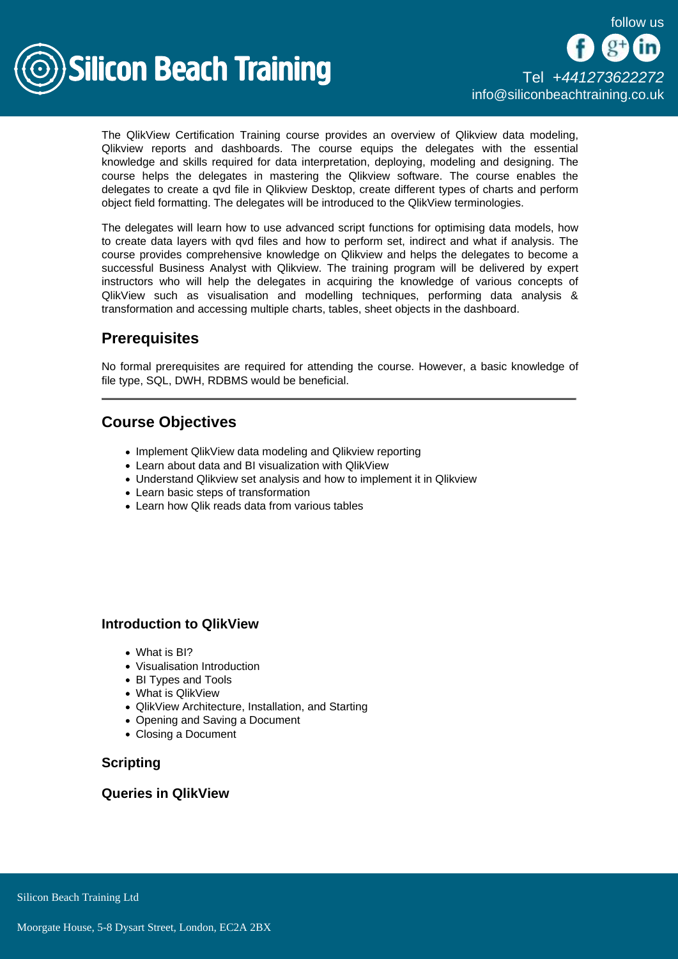

The QlikView Certification Training course provides an overview of Qlikview data modeling, Qlikview reports and dashboards. The course equips the delegates with the essential knowledge and skills required for data interpretation, deploying, modeling and designing. The course helps the delegates in mastering the Qlikview software. The course enables the delegates to create a qvd file in Qlikview Desktop, create different types of charts and perform object field formatting. The delegates will be introduced to the QlikView terminologies.

The delegates will learn how to use advanced script functions for optimising data models, how to create data layers with qvd files and how to perform set, indirect and what if analysis. The course provides comprehensive knowledge on Qlikview and helps the delegates to become a successful Business Analyst with Qlikview. The training program will be delivered by expert instructors who will help the delegates in acquiring the knowledge of various concepts of QlikView such as visualisation and modelling techniques, performing data analysis & transformation and accessing multiple charts, tables, sheet objects in the dashboard.

# **Prerequisites**

No formal prerequisites are required for attending the course. However, a basic knowledge of file type, SQL, DWH, RDBMS would be beneficial.

# Course Objectives

- Implement QlikView data modeling and Qlikview reporting
- Learn about data and BI visualization with QlikView
- Understand Qlikview set analysis and how to implement it in Qlikview
- Learn basic steps of transformation
- Learn how Qlik reads data from various tables

#### Introduction to QlikView

- What is BI?
- Visualisation Introduction
- BI Types and Tools
- What is OlikView
- QlikView Architecture, Installation, and Starting
- Opening and Saving a Document
- Closing a Document

**Scripting** 

Queries in QlikView

Silicon Beach Training Ltd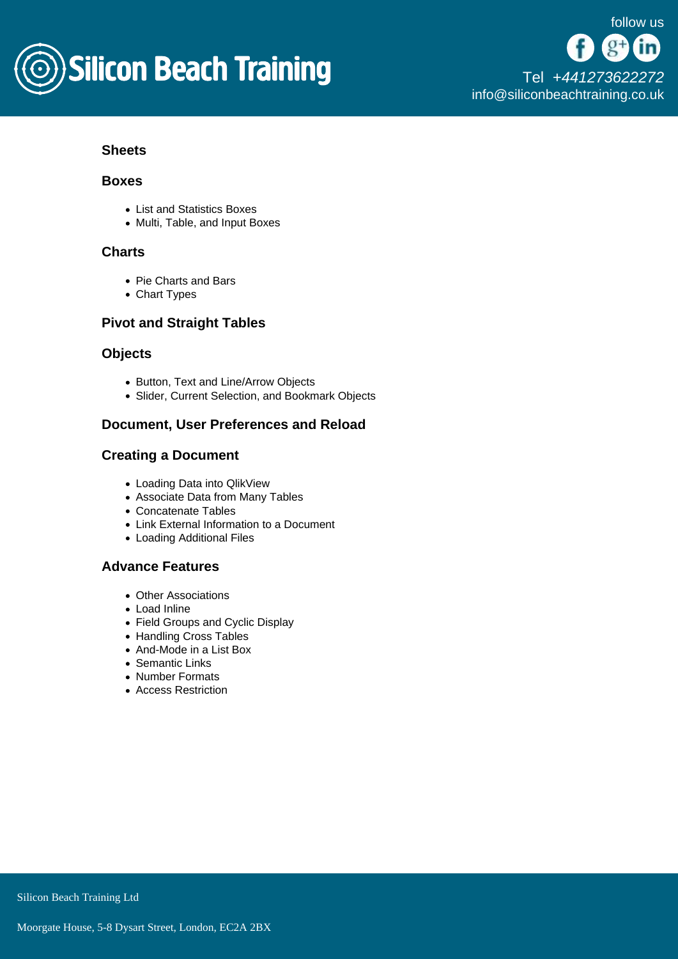

## **Sheets**

#### Boxes

- List and Statistics Boxes
- Multi, Table, and Input Boxes

## **Charts**

- Pie Charts and Bars
- Chart Types

## Pivot and Straight Tables

#### **Objects**

- Button, Text and Line/Arrow Objects
- Slider, Current Selection, and Bookmark Objects

## Document, User Preferences and Reload

#### Creating a Document

- Loading Data into QlikView
- Associate Data from Many Tables
- Concatenate Tables
- Link External Information to a Document
- Loading Additional Files

## Advance Features

- Other Associations
- Load Inline
- Field Groups and Cyclic Display
- Handling Cross Tables
- And-Mode in a List Box
- Semantic Links
- Number Formats
- Access Restriction